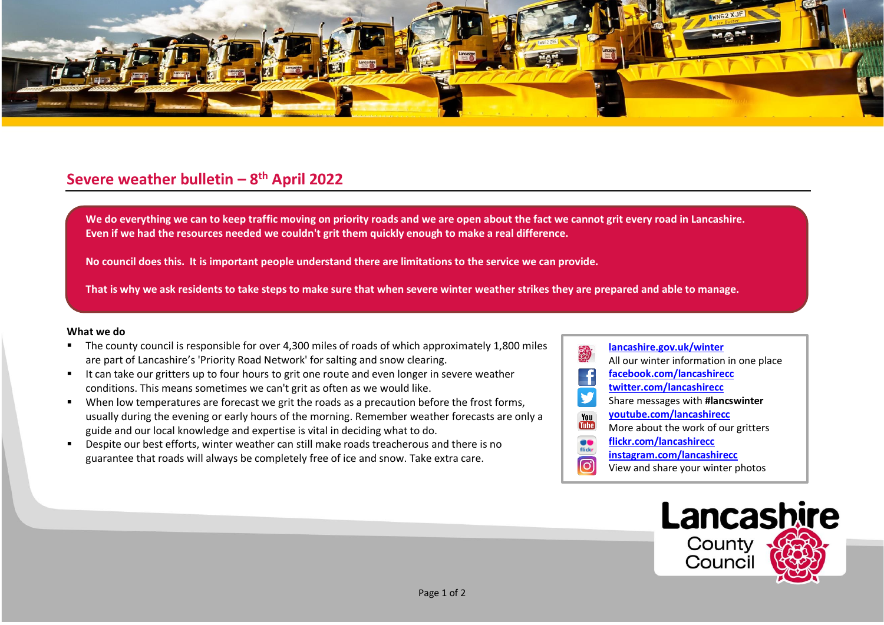

## **Severe weather bulletin – 8 th April 2022**

We do everything we can to keep traffic moving on priority roads and we are open about the fact we cannot grit every road in Lancashire. **Even if we had the resources needed we couldn't grit them quickly enough to make a real difference.**

**No council does this. It is important people understand there are limitations to the service we can provide.**

**That is why we ask residents to take steps to make sure that when severe winter weather strikes they are prepared and able to manage.**

## **What we do**

- The county council is responsible for over 4,300 miles of roads of which approximately 1,800 miles are part of Lancashire's 'Priority Road Network' for salting and snow clearing.
- It can take our gritters up to four hours to grit one route and even longer in severe weather conditions. This means sometimes we can't grit as often as we would like.
- When low temperatures are forecast we grit the roads as a precaution before the frost forms, usually during the evening or early hours of the morning. Remember weather forecasts are only a guide and our local knowledge and expertise is vital in deciding what to do.
- Despite our best efforts, winter weather can still make roads treacherous and there is no guarantee that roads will always be completely free of ice and snow. Take extra care.

## **[lancashire.gov.uk/winter](http://www.lancashire.gov.uk/winter)** All our winter information in one place **[facebook.com/lancashirecc](http://www.facebook.com/lancashirecc) [twitter.com/lancashirecc](http://www.twitter.com/lancashirecc)** y Share messages with **#lancswinter [youtube.com/lancashirecc](http://www.youtube.com/lancashirecc)** You **Tube** More about the work of our gritters  $\bullet$ **[flickr.com/lancashirecc](http://www.flickr.com/lancashirecc)** flickr **[instagram.com/lancashirecc](http://www.instagram.com/lancashirecc)** <u>ြဝ</u> View and share your winter photos